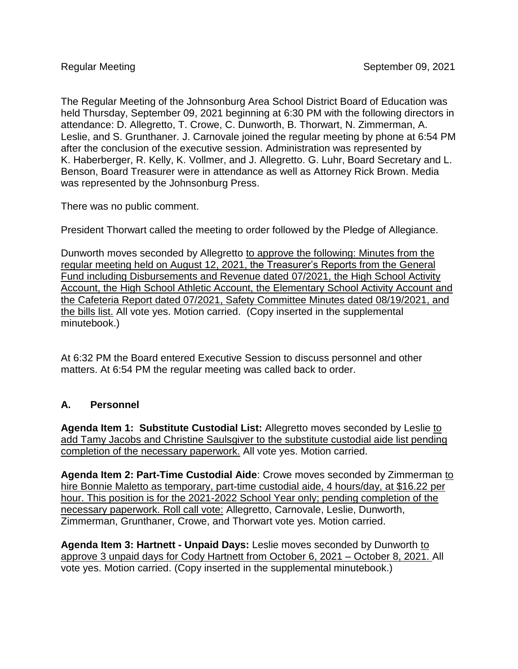The Regular Meeting of the Johnsonburg Area School District Board of Education was held Thursday, September 09, 2021 beginning at 6:30 PM with the following directors in attendance: D. Allegretto, T. Crowe, C. Dunworth, B. Thorwart, N. Zimmerman, A. Leslie, and S. Grunthaner. J. Carnovale joined the regular meeting by phone at 6:54 PM after the conclusion of the executive session. Administration was represented by K. Haberberger, R. Kelly, K. Vollmer, and J. Allegretto. G. Luhr, Board Secretary and L. Benson, Board Treasurer were in attendance as well as Attorney Rick Brown. Media was represented by the Johnsonburg Press.

There was no public comment.

President Thorwart called the meeting to order followed by the Pledge of Allegiance.

Dunworth moves seconded by Allegretto to approve the following: Minutes from the regular meeting held on August 12, 2021, the Treasurer's Reports from the General Fund including Disbursements and Revenue dated 07/2021, the High School Activity Account, the High School Athletic Account, the Elementary School Activity Account and the Cafeteria Report dated 07/2021, Safety Committee Minutes dated 08/19/2021, and the bills list. All vote yes. Motion carried. (Copy inserted in the supplemental minutebook.)

At 6:32 PM the Board entered Executive Session to discuss personnel and other matters. At 6:54 PM the regular meeting was called back to order.

## **A. Personnel**

**Agenda Item 1: Substitute Custodial List:** Allegretto moves seconded by Leslie to add Tamy Jacobs and Christine Saulsgiver to the substitute custodial aide list pending completion of the necessary paperwork. All vote yes. Motion carried.

**Agenda Item 2: Part-Time Custodial Aide**: Crowe moves seconded by Zimmerman to hire Bonnie Maletto as temporary, part-time custodial aide, 4 hours/day, at \$16.22 per hour. This position is for the 2021-2022 School Year only; pending completion of the necessary paperwork. Roll call vote: Allegretto, Carnovale, Leslie, Dunworth, Zimmerman, Grunthaner, Crowe, and Thorwart vote yes. Motion carried.

**Agenda Item 3: Hartnett - Unpaid Days:** Leslie moves seconded by Dunworth to approve 3 unpaid days for Cody Hartnett from October 6, 2021 – October 8, 2021. All vote yes. Motion carried. (Copy inserted in the supplemental minutebook.)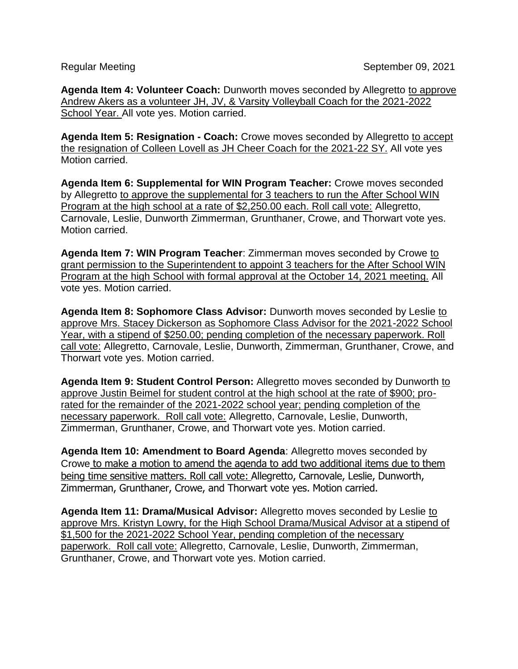**Agenda Item 4: Volunteer Coach:** Dunworth moves seconded by Allegretto to approve Andrew Akers as a volunteer JH, JV, & Varsity Volleyball Coach for the 2021-2022 School Year. All vote yes. Motion carried.

**Agenda Item 5: Resignation - Coach:** Crowe moves seconded by Allegretto to accept the resignation of Colleen Lovell as JH Cheer Coach for the 2021-22 SY. All vote yes Motion carried.

**Agenda Item 6: Supplemental for WIN Program Teacher:** Crowe moves seconded by Allegretto to approve the supplemental for 3 teachers to run the After School WIN Program at the high school at a rate of \$2,250.00 each. Roll call vote: Allegretto, Carnovale, Leslie, Dunworth Zimmerman, Grunthaner, Crowe, and Thorwart vote yes. Motion carried.

**Agenda Item 7: WIN Program Teacher**: Zimmerman moves seconded by Crowe to grant permission to the Superintendent to appoint 3 teachers for the After School WIN Program at the high School with formal approval at the October 14, 2021 meeting. All vote yes. Motion carried.

**Agenda Item 8: Sophomore Class Advisor:** Dunworth moves seconded by Leslie to approve Mrs. Stacey Dickerson as Sophomore Class Advisor for the 2021-2022 School Year, with a stipend of \$250.00; pending completion of the necessary paperwork. Roll call vote: Allegretto, Carnovale, Leslie, Dunworth, Zimmerman, Grunthaner, Crowe, and Thorwart vote yes. Motion carried.

**Agenda Item 9: Student Control Person:** Allegretto moves seconded by Dunworth to approve Justin Beimel for student control at the high school at the rate of \$900; prorated for the remainder of the 2021-2022 school year; pending completion of the necessary paperwork. Roll call vote: Allegretto, Carnovale, Leslie, Dunworth, Zimmerman, Grunthaner, Crowe, and Thorwart vote yes. Motion carried.

**Agenda Item 10: Amendment to Board Agenda**: Allegretto moves seconded by Crowe to make a motion to amend the agenda to add two additional items due to them being time sensitive matters. Roll call vote: Allegretto, Carnovale, Leslie, Dunworth, Zimmerman, Grunthaner, Crowe, and Thorwart vote yes. Motion carried.

**Agenda Item 11: Drama/Musical Advisor:** Allegretto moves seconded by Leslie to approve Mrs. Kristyn Lowry, for the High School Drama/Musical Advisor at a stipend of \$1,500 for the 2021-2022 School Year, pending completion of the necessary paperwork. Roll call vote: Allegretto, Carnovale, Leslie, Dunworth, Zimmerman, Grunthaner, Crowe, and Thorwart vote yes. Motion carried.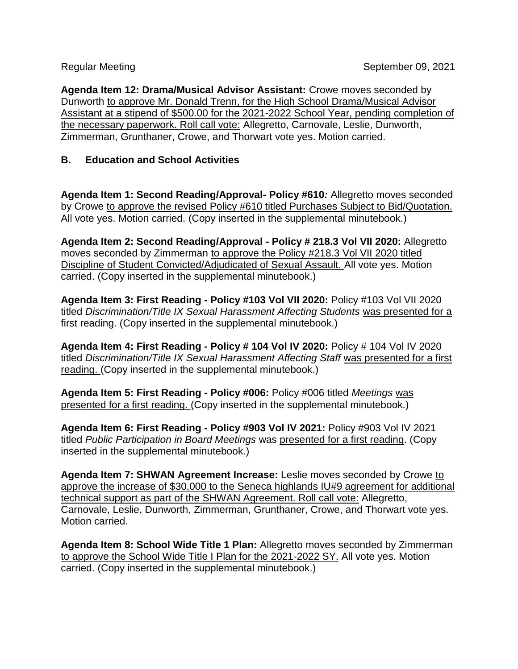**Agenda Item 12: Drama/Musical Advisor Assistant:** Crowe moves seconded by Dunworth to approve Mr. Donald Trenn, for the High School Drama/Musical Advisor Assistant at a stipend of \$500.00 for the 2021-2022 School Year, pending completion of the necessary paperwork. Roll call vote: Allegretto, Carnovale, Leslie, Dunworth, Zimmerman, Grunthaner, Crowe, and Thorwart vote yes. Motion carried.

## **B. Education and School Activities**

**Agenda Item 1: Second Reading/Approval- Policy #610***:* Allegretto moves seconded by Crowe to approve the revised Policy #610 titled Purchases Subject to Bid/Quotation. All vote yes. Motion carried. (Copy inserted in the supplemental minutebook.)

**Agenda Item 2: Second Reading/Approval - Policy # 218.3 Vol VII 2020:** Allegretto moves seconded by Zimmerman to approve the Policy #218.3 Vol VII 2020 titled Discipline of Student Convicted/Adjudicated of Sexual Assault. All vote yes. Motion carried. (Copy inserted in the supplemental minutebook.)

**Agenda Item 3: First Reading - Policy #103 Vol VII 2020:** Policy #103 Vol VII 2020 titled *Discrimination/Title IX Sexual Harassment Affecting Students* was presented for a first reading. (Copy inserted in the supplemental minutebook.)

**Agenda Item 4: First Reading - Policy # 104 Vol IV 2020:** Policy # 104 Vol IV 2020 titled *Discrimination/Title IX Sexual Harassment Affecting Staff* was presented for a first reading. (Copy inserted in the supplemental minutebook.)

**Agenda Item 5: First Reading - Policy #006:** Policy #006 titled *Meetings* was presented for a first reading. (Copy inserted in the supplemental minutebook.)

**Agenda Item 6: First Reading - Policy #903 Vol IV 2021:** Policy #903 Vol IV 2021 titled *Public Participation in Board Meetings* was presented for a first reading. (Copy inserted in the supplemental minutebook.)

**Agenda Item 7: SHWAN Agreement Increase:** Leslie moves seconded by Crowe to approve the increase of \$30,000 to the Seneca highlands IU#9 agreement for additional technical support as part of the SHWAN Agreement. Roll call vote: Allegretto, Carnovale, Leslie, Dunworth, Zimmerman, Grunthaner, Crowe, and Thorwart vote yes. Motion carried.

**Agenda Item 8: School Wide Title 1 Plan:** Allegretto moves seconded by Zimmerman to approve the School Wide Title I Plan for the 2021-2022 SY. All vote yes. Motion carried. (Copy inserted in the supplemental minutebook.)